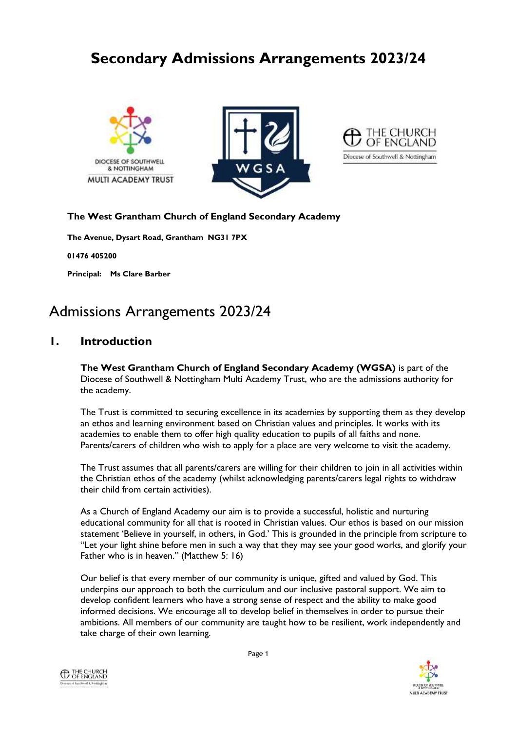# **Secondary Admissions Arrangements 2023/24**







## **The West Grantham Church of England Secondary Academy**

**The Avenue, Dysart Road, Grantham NG31 7PX**

**01476 405200**

**Principal: Ms Clare Barber**

# Admissions Arrangements 2023/24

# **1. Introduction**

**The West Grantham Church of England Secondary Academy (WGSA)** is part of the Diocese of Southwell & Nottingham Multi Academy Trust, who are the admissions authority for the academy.

The Trust is committed to securing excellence in its academies by supporting them as they develop an ethos and learning environment based on Christian values and principles. It works with its academies to enable them to offer high quality education to pupils of all faiths and none. Parents/carers of children who wish to apply for a place are very welcome to visit the academy.

The Trust assumes that all parents/carers are willing for their children to join in all activities within the Christian ethos of the academy (whilst acknowledging parents/carers legal rights to withdraw their child from certain activities).

As a Church of England Academy our aim is to provide a successful, holistic and nurturing educational community for all that is rooted in Christian values. Our ethos is based on our mission statement 'Believe in yourself, in others, in God.' This is grounded in the principle from scripture to "Let your light shine before men in such a way that they may see your good works, and glorify your Father who is in heaven." (Matthew 5: 16)

Our belief is that every member of our community is unique, gifted and valued by God. This underpins our approach to both the curriculum and our inclusive pastoral support. We aim to develop confident learners who have a strong sense of respect and the ability to make good informed decisions. We encourage all to develop belief in themselves in order to pursue their ambitions. All members of our community are taught how to be resilient, work independently and take charge of their own learning.



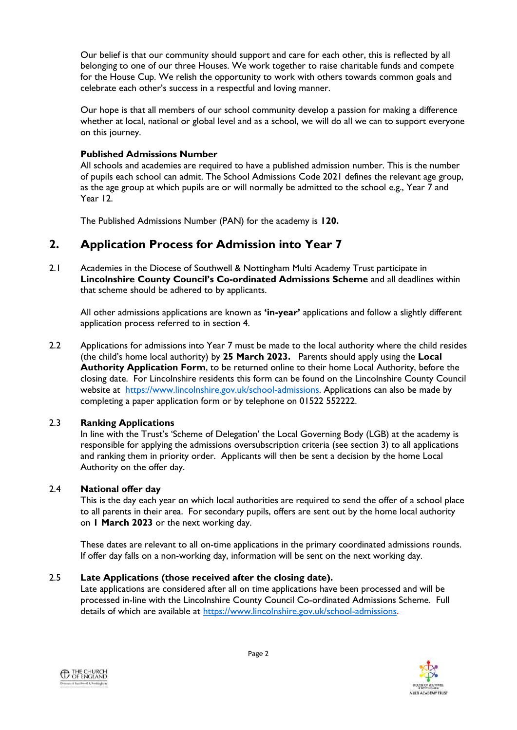Our belief is that our community should support and care for each other, this is reflected by all belonging to one of our three Houses. We work together to raise charitable funds and compete for the House Cup. We relish the opportunity to work with others towards common goals and celebrate each other's success in a respectful and loving manner.

Our hope is that all members of our school community develop a passion for making a difference whether at local, national or global level and as a school, we will do all we can to support everyone on this journey.

#### **Published Admissions Number**

All schools and academies are required to have a published admission number. This is the number of pupils each school can admit. The School Admissions Code 2021 defines the relevant age group, as the age group at which pupils are or will normally be admitted to the school e.g., Year 7 and Year 12.

The Published Admissions Number (PAN) for the academy is **120.**

# **2. Application Process for Admission into Year 7**

2.1 Academies in the Diocese of Southwell & Nottingham Multi Academy Trust participate in **Lincolnshire County Council's Co-ordinated Admissions Scheme** and all deadlines within that scheme should be adhered to by applicants.

All other admissions applications are known as **'in-year'** applications and follow a slightly different application process referred to in section 4.

2.2 Applications for admissions into Year 7 must be made to the local authority where the child resides (the child's home local authority) by **25 March 2023.** Parents should apply using the **Local Authority Application Form**, to be returned online to their home Local Authority, before the closing date. For Lincolnshire residents this form can be found on the Lincolnshire County Council website at [https://www.lincolnshire.gov.uk/school-admissions.](https://www.lincolnshire.gov.uk/school-admissions) Applications can also be made by completing a paper application form or by telephone on 01522 552222.

## 2.3 **Ranking Applications**

In line with the Trust's 'Scheme of Delegation' the Local Governing Body (LGB) at the academy is responsible for applying the admissions oversubscription criteria (see section 3) to all applications and ranking them in priority order. Applicants will then be sent a decision by the home Local Authority on the offer day.

#### 2.4 **National offer day**

This is the day each year on which local authorities are required to send the offer of a school place to all parents in their area. For secondary pupils, offers are sent out by the home local authority on **1 March 2023** or the next working day.

These dates are relevant to all on-time applications in the primary coordinated admissions rounds. If offer day falls on a non-working day, information will be sent on the next working day.

#### 2.5 **Late Applications (those received after the closing date).**

Late applications are considered after all on time applications have been processed and will be processed in-line with the Lincolnshire County Council Co-ordinated Admissions Scheme. Full details of which are available at [https://www.lincolnshire.gov.uk/school-admissions.](https://www.lincolnshire.gov.uk/school-admissions)



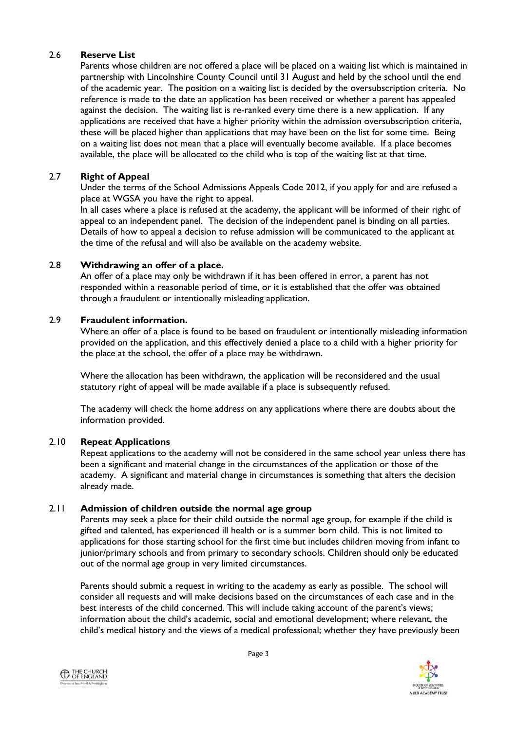#### 2.6 **Reserve List**

Parents whose children are not offered a place will be placed on a waiting list which is maintained in partnership with Lincolnshire County Council until 31 August and held by the school until the end of the academic year. The position on a waiting list is decided by the oversubscription criteria. No reference is made to the date an application has been received or whether a parent has appealed against the decision. The waiting list is re-ranked every time there is a new application. If any applications are received that have a higher priority within the admission oversubscription criteria, these will be placed higher than applications that may have been on the list for some time. Being on a waiting list does not mean that a place will eventually become available. If a place becomes available, the place will be allocated to the child who is top of the waiting list at that time.

#### 2.7 **Right of Appeal**

Under the terms of the School Admissions Appeals Code 2012, if you apply for and are refused a place at WGSA you have the right to appeal.

In all cases where a place is refused at the academy, the applicant will be informed of their right of appeal to an independent panel. The decision of the independent panel is binding on all parties. Details of how to appeal a decision to refuse admission will be communicated to the applicant at the time of the refusal and will also be available on the academy website.

#### 2.8 **Withdrawing an offer of a place.**

An offer of a place may only be withdrawn if it has been offered in error, a parent has not responded within a reasonable period of time, or it is established that the offer was obtained through a fraudulent or intentionally misleading application.

## 2.9 **Fraudulent information.**

Where an offer of a place is found to be based on fraudulent or intentionally misleading information provided on the application, and this effectively denied a place to a child with a higher priority for the place at the school, the offer of a place may be withdrawn.

Where the allocation has been withdrawn, the application will be reconsidered and the usual statutory right of appeal will be made available if a place is subsequently refused.

The academy will check the home address on any applications where there are doubts about the information provided.

#### 2.10 **Repeat Applications**

Repeat applications to the academy will not be considered in the same school year unless there has been a significant and material change in the circumstances of the application or those of the academy. A significant and material change in circumstances is something that alters the decision already made.

#### 2.11 **Admission of children outside the normal age group**

Parents may seek a place for their child outside the normal age group, for example if the child is gifted and talented, has experienced ill health or is a summer born child. This is not limited to applications for those starting school for the first time but includes children moving from infant to junior/primary schools and from primary to secondary schools. Children should only be educated out of the normal age group in very limited circumstances.

Parents should submit a request in writing to the academy as early as possible. The school will consider all requests and will make decisions based on the circumstances of each case and in the best interests of the child concerned. This will include taking account of the parent's views; information about the child's academic, social and emotional development; where relevant, the child's medical history and the views of a medical professional; whether they have previously been



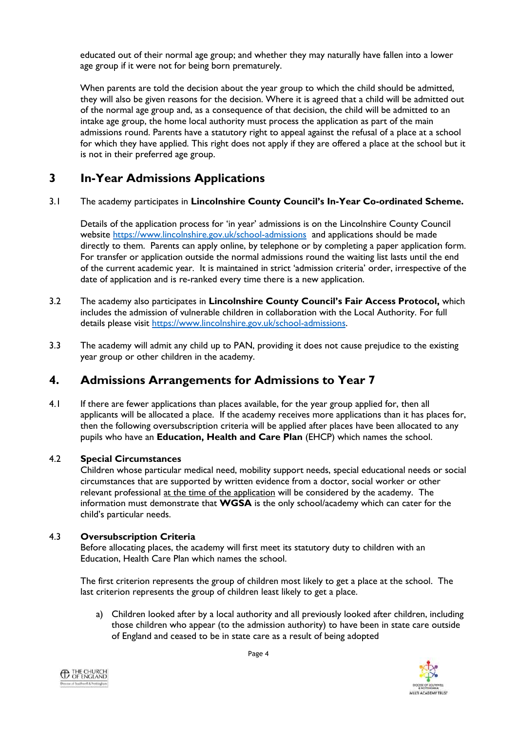educated out of their normal age group; and whether they may naturally have fallen into a lower age group if it were not for being born prematurely.

When parents are told the decision about the year group to which the child should be admitted, they will also be given reasons for the decision. Where it is agreed that a child will be admitted out of the normal age group and, as a consequence of that decision, the child will be admitted to an intake age group, the home local authority must process the application as part of the main admissions round. Parents have a statutory right to appeal against the refusal of a place at a school for which they have applied. This right does not apply if they are offered a place at the school but it is not in their preferred age group.

# **3 In-Year Admissions Applications**

3.1 The academy participates in **Lincolnshire County Council's In-Year Co-ordinated Scheme.**

Details of the application process for 'in year' admissions is on the Lincolnshire County Council website<https://www.lincolnshire.gov.uk/school-admissions>and applications should be made directly to them. Parents can apply online, by telephone or by completing a paper application form. For transfer or application outside the normal admissions round the waiting list lasts until the end of the current academic year. It is maintained in strict 'admission criteria' order, irrespective of the date of application and is re-ranked every time there is a new application.

- 3.2 The academy also participates in **Lincolnshire County Council's Fair Access Protocol,** which includes the admission of vulnerable children in collaboration with the Local Authority. For full details please visit [https://www.lincolnshire.gov.uk/school-admissions.](https://www.lincolnshire.gov.uk/school-admissions)
- 3.3 The academy will admit any child up to PAN, providing it does not cause prejudice to the existing year group or other children in the academy.

# **4. Admissions Arrangements for Admissions to Year 7**

4.1 If there are fewer applications than places available, for the year group applied for, then all applicants will be allocated a place. If the academy receives more applications than it has places for, then the following oversubscription criteria will be applied after places have been allocated to any pupils who have an **Education, Health and Care Plan** (EHCP) which names the school.

## 4.2 **Special Circumstances**

Children whose particular medical need, mobility support needs, special educational needs or social circumstances that are supported by written evidence from a doctor, social worker or other relevant professional at the time of the application will be considered by the academy. The information must demonstrate that **WGSA** is the only school/academy which can cater for the child's particular needs.

## 4.3 **Oversubscription Criteria**

Before allocating places, the academy will first meet its statutory duty to children with an Education, Health Care Plan which names the school.

The first criterion represents the group of children most likely to get a place at the school. The last criterion represents the group of children least likely to get a place.

a) Children looked after by a local authority and all previously looked after children, including those children who appear (to the admission authority) to have been in state care outside of England and ceased to be in state care as a result of being adopted



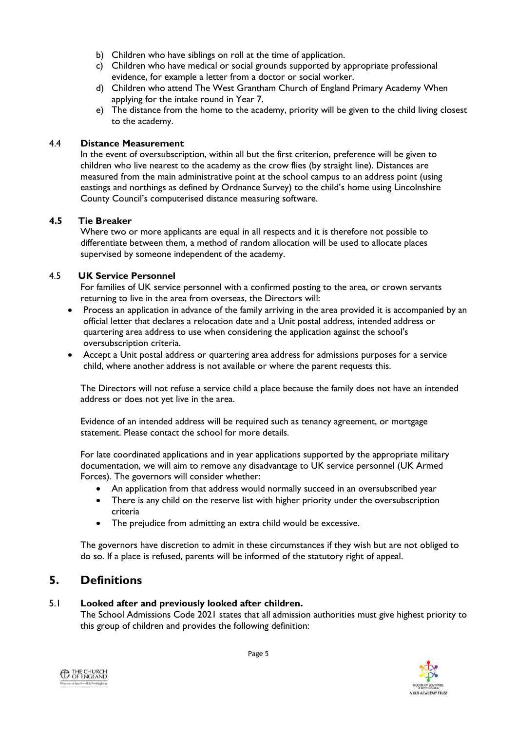- b) Children who have siblings on roll at the time of application.
- c) Children who have medical or social grounds supported by appropriate professional evidence, for example a letter from a doctor or social worker.
- d) Children who attend The West Grantham Church of England Primary Academy When applying for the intake round in Year 7.
- e) The distance from the home to the academy, priority will be given to the child living closest to the academy.

#### 4.4 **Distance Measurement**

In the event of oversubscription, within all but the first criterion, preference will be given to children who live nearest to the academy as the crow flies (by straight line). Distances are measured from the main administrative point at the school campus to an address point (using eastings and northings as defined by Ordnance Survey) to the child's home using Lincolnshire County Council's computerised distance measuring software.

#### **4.5 Tie Breaker**

Where two or more applicants are equal in all respects and it is therefore not possible to differentiate between them, a method of random allocation will be used to allocate places supervised by someone independent of the academy.

#### 4.5 **UK Service Personnel**

For families of UK service personnel with a confirmed posting to the area, or crown servants returning to live in the area from overseas, the Directors will:

- Process an application in advance of the family arriving in the area provided it is accompanied by an official letter that declares a relocation date and a Unit postal address, intended address or quartering area address to use when considering the application against the school's oversubscription criteria.
- Accept a Unit postal address or quartering area address for admissions purposes for a service child, where another address is not available or where the parent requests this.

The Directors will not refuse a service child a place because the family does not have an intended address or does not yet live in the area.

Evidence of an intended address will be required such as tenancy agreement, or mortgage statement. Please contact the school for more details.

For late coordinated applications and in year applications supported by the appropriate military documentation, we will aim to remove any disadvantage to UK service personnel (UK Armed Forces). The governors will consider whether:

- An application from that address would normally succeed in an oversubscribed year
- There is any child on the reserve list with higher priority under the oversubscription criteria
- The prejudice from admitting an extra child would be excessive.

The governors have discretion to admit in these circumstances if they wish but are not obliged to do so. If a place is refused, parents will be informed of the statutory right of appeal.

# **5. Definitions**

## 5.1 **Looked after and previously looked after children.**

The School Admissions Code 2021 states that all admission authorities must give highest priority to this group of children and provides the following definition:



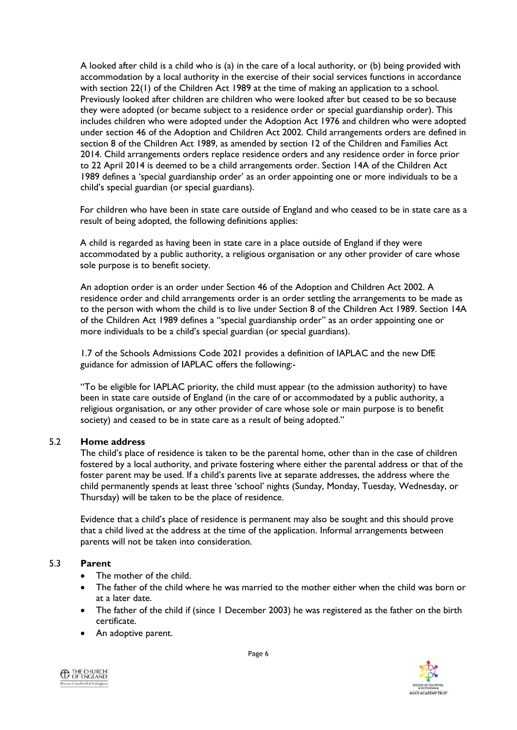A looked after child is a child who is (a) in the care of a local authority, or (b) being provided with accommodation by a local authority in the exercise of their social services functions in accordance with section 22(1) of the Children Act 1989 at the time of making an application to a school. Previously looked after children are children who were looked after but ceased to be so because they were adopted (or became subject to a residence order or special guardianship order). This includes children who were adopted under the Adoption Act 1976 and children who were adopted under section 46 of the Adoption and Children Act 2002. Child arrangements orders are defined in section 8 of the Children Act 1989, as amended by section 12 of the Children and Families Act 2014. Child arrangements orders replace residence orders and any residence order in force prior to 22 April 2014 is deemed to be a child arrangements order. Section 14A of the Children Act 1989 defines a 'special guardianship order' as an order appointing one or more individuals to be a child's special guardian (or special guardians).

For children who have been in state care outside of England and who ceased to be in state care as a result of being adopted, the following definitions applies:

A child is regarded as having been in state care in a place outside of England if they were accommodated by a public authority, a religious organisation or any other provider of care whose sole purpose is to benefit society.

An adoption order is an order under Section 46 of the Adoption and Children Act 2002. A residence order and child arrangements order is an order settling the arrangements to be made as to the person with whom the child is to live under Section 8 of the Children Act 1989. Section 14A of the Children Act 1989 defines a "special guardianship order" as an order appointing one or more individuals to be a child's special guardian (or special guardians).

1.7 of the Schools Admissions Code 2021 provides a definition of IAPLAC and the new DfE guidance for admission of IAPLAC offers the following:-

"To be eligible for IAPLAC priority, the child must appear (to the admission authority) to have been in state care outside of England (in the care of or accommodated by a public authority, a religious organisation, or any other provider of care whose sole or main purpose is to benefit society) and ceased to be in state care as a result of being adopted."

#### 5.2 **Home address**

The child's place of residence is taken to be the parental home, other than in the case of children fostered by a local authority, and private fostering where either the parental address or that of the foster parent may be used. If a child's parents live at separate addresses, the address where the child permanently spends at least three 'school' nights (Sunday, Monday, Tuesday, Wednesday, or Thursday) will be taken to be the place of residence.

Evidence that a child's place of residence is permanent may also be sought and this should prove that a child lived at the address at the time of the application. Informal arrangements between parents will not be taken into consideration.

#### 5.3 **Parent**

- The mother of the child.
- The father of the child where he was married to the mother either when the child was born or at a later date.
- The father of the child if (since 1 December 2003) he was registered as the father on the birth certificate.
- An adoptive parent.